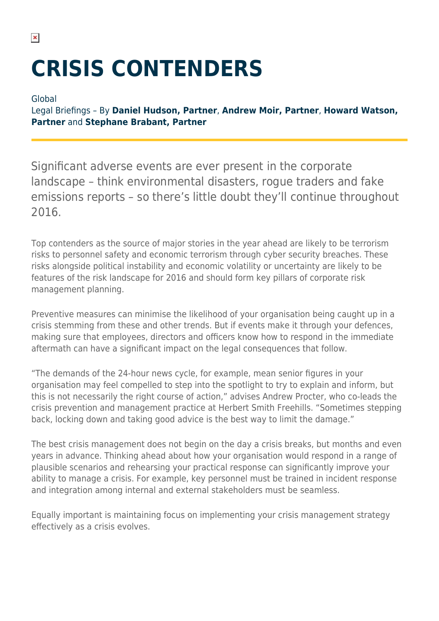# **CRISIS CONTENDERS**

Global Legal Briefings – By **Daniel Hudson, Partner**, **Andrew Moir, Partner**, **Howard Watson, Partner** and **Stephane Brabant, Partner**

Significant adverse events are ever present in the corporate landscape – think environmental disasters, rogue traders and fake emissions reports – so there's little doubt they'll continue throughout 2016.

Top contenders as the source of major stories in the year ahead are likely to be terrorism risks to personnel safety and economic terrorism through cyber security breaches. These risks alongside political instability and economic volatility or uncertainty are likely to be features of the risk landscape for 2016 and should form key pillars of corporate risk management planning.

Preventive measures can minimise the likelihood of your organisation being caught up in a crisis stemming from these and other trends. But if events make it through your defences, making sure that employees, directors and officers know how to respond in the immediate aftermath can have a significant impact on the legal consequences that follow.

"The demands of the 24-hour news cycle, for example, mean senior figures in your organisation may feel compelled to step into the spotlight to try to explain and inform, but this is not necessarily the right course of action," advises Andrew Procter, who co-leads the crisis prevention and management practice at Herbert Smith Freehills. "Sometimes stepping back, locking down and taking good advice is the best way to limit the damage."

The best crisis management does not begin on the day a crisis breaks, but months and even years in advance. Thinking ahead about how your organisation would respond in a range of plausible scenarios and rehearsing your practical response can significantly improve your ability to manage a crisis. For example, key personnel must be trained in incident response and integration among internal and external stakeholders must be seamless.

Equally important is maintaining focus on implementing your crisis management strategy effectively as a crisis evolves.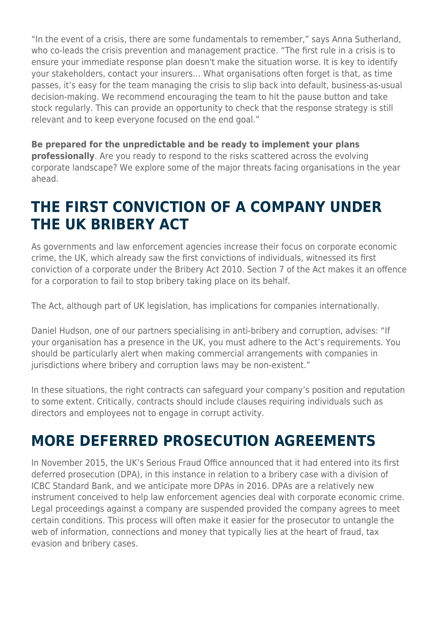"In the event of a crisis, there are some fundamentals to remember," says Anna Sutherland, who co-leads the crisis prevention and management practice. "The first rule in a crisis is to ensure your immediate response plan doesn't make the situation worse. It is key to identify your stakeholders, contact your insurers… What organisations often forget is that, as time passes, it's easy for the team managing the crisis to slip back into default, business-as-usual decision-making. We recommend encouraging the team to hit the pause button and take stock regularly. This can provide an opportunity to check that the response strategy is still relevant and to keep everyone focused on the end goal."

**Be prepared for the unpredictable and be ready to implement your plans professionally**. Are you ready to respond to the risks scattered across the evolving corporate landscape? We explore some of the major threats facing organisations in the year ahead.

## **THE FIRST CONVICTION OF A COMPANY UNDER THE UK BRIBERY ACT**

As governments and law enforcement agencies increase their focus on corporate economic crime, the UK, which already saw the first convictions of individuals, witnessed its first conviction of a corporate under the Bribery Act 2010. Section 7 of the Act makes it an offence for a corporation to fail to stop bribery taking place on its behalf.

The Act, although part of UK legislation, has implications for companies internationally.

Daniel Hudson, one of our partners specialising in anti-bribery and corruption, advises: "If your organisation has a presence in the UK, you must adhere to the Act's requirements. You should be particularly alert when making commercial arrangements with companies in jurisdictions where bribery and corruption laws may be non-existent."

In these situations, the right contracts can safeguard your company's position and reputation to some extent. Critically, contracts should include clauses requiring individuals such as directors and employees not to engage in corrupt activity.

## **MORE DEFERRED PROSECUTION AGREEMENTS**

In November 2015, the UK's Serious Fraud Office announced that it had entered into its first deferred prosecution (DPA), in this instance in relation to a bribery case with a division of ICBC Standard Bank, and we anticipate more DPAs in 2016. DPAs are a relatively new instrument conceived to help law enforcement agencies deal with corporate economic crime. Legal proceedings against a company are suspended provided the company agrees to meet certain conditions. This process will often make it easier for the prosecutor to untangle the web of information, connections and money that typically lies at the heart of fraud, tax evasion and bribery cases.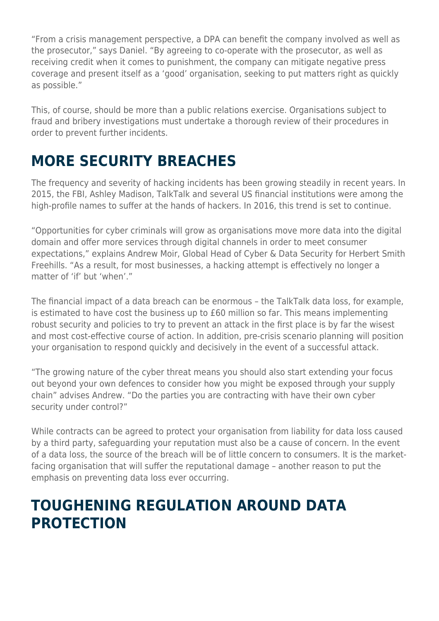"From a crisis management perspective, a DPA can benefit the company involved as well as the prosecutor," says Daniel. "By agreeing to co-operate with the prosecutor, as well as receiving credit when it comes to punishment, the company can mitigate negative press coverage and present itself as a 'good' organisation, seeking to put matters right as quickly as possible."

This, of course, should be more than a public relations exercise. Organisations subject to fraud and bribery investigations must undertake a thorough review of their procedures in order to prevent further incidents.

# **MORE SECURITY BREACHES**

The frequency and severity of hacking incidents has been growing steadily in recent years. In 2015, the FBI, Ashley Madison, TalkTalk and several US financial institutions were among the high-profile names to suffer at the hands of hackers. In 2016, this trend is set to continue.

"Opportunities for cyber criminals will grow as organisations move more data into the digital domain and offer more services through digital channels in order to meet consumer expectations," explains Andrew Moir, Global Head of Cyber & Data Security for Herbert Smith Freehills. "As a result, for most businesses, a hacking attempt is effectively no longer a matter of 'if' but 'when'."

The financial impact of a data breach can be enormous – the TalkTalk data loss, for example, is estimated to have cost the business up to £60 million so far. This means implementing robust security and policies to try to prevent an attack in the first place is by far the wisest and most cost-effective course of action. In addition, pre-crisis scenario planning will position your organisation to respond quickly and decisively in the event of a successful attack.

"The growing nature of the cyber threat means you should also start extending your focus out beyond your own defences to consider how you might be exposed through your supply chain" advises Andrew. "Do the parties you are contracting with have their own cyber security under control?"

While contracts can be agreed to protect your organisation from liability for data loss caused by a third party, safeguarding your reputation must also be a cause of concern. In the event of a data loss, the source of the breach will be of little concern to consumers. It is the marketfacing organisation that will suffer the reputational damage – another reason to put the emphasis on preventing data loss ever occurring.

#### **TOUGHENING REGULATION AROUND DATA PROTECTION**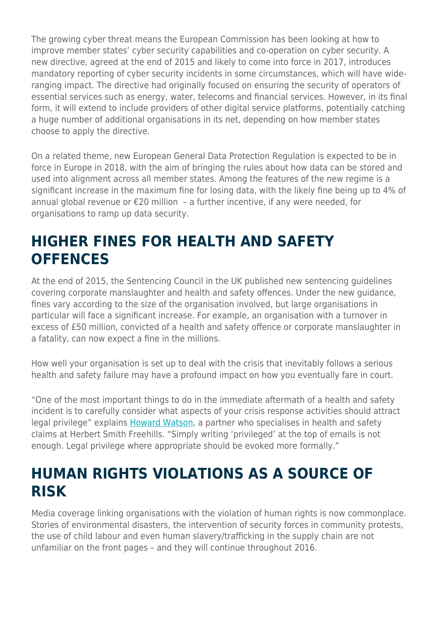The growing cyber threat means the European Commission has been looking at how to improve member states' cyber security capabilities and co-operation on cyber security. A new directive, agreed at the end of 2015 and likely to come into force in 2017, introduces mandatory reporting of cyber security incidents in some circumstances, which will have wideranging impact. The directive had originally focused on ensuring the security of operators of essential services such as energy, water, telecoms and financial services. However, in its final form, it will extend to include providers of other digital service platforms, potentially catching a huge number of additional organisations in its net, depending on how member states choose to apply the directive.

On a related theme, new European General Data Protection Regulation is expected to be in force in Europe in 2018, with the aim of bringing the rules about how data can be stored and used into alignment across all member states. Among the features of the new regime is a significant increase in the maximum fine for losing data, with the likely fine being up to 4% of annual global revenue or €20 million – a further incentive, if any were needed, for organisations to ramp up data security.

## **HIGHER FINES FOR HEALTH AND SAFETY OFFENCES**

At the end of 2015, the Sentencing Council in the UK published new sentencing guidelines covering corporate manslaughter and health and safety offences. Under the new guidance, fines vary according to the size of the organisation involved, but large organisations in particular will face a significant increase. For example, an organisation with a turnover in excess of £50 million, convicted of a health and safety offence or corporate manslaughter in a fatality, can now expect a fine in the millions.

How well your organisation is set up to deal with the crisis that inevitably follows a serious health and safety failure may have a profound impact on how you eventually fare in court.

"One of the most important things to do in the immediate aftermath of a health and safety incident is to carefully consider what aspects of your crisis response activities should attract legal privilege" explains **Howard Watson**, a partner who specialises in health and safety claims at Herbert Smith Freehills. "Simply writing 'privileged' at the top of emails is not enough. Legal privilege where appropriate should be evoked more formally."

#### **HUMAN RIGHTS VIOLATIONS AS A SOURCE OF RISK**

Media coverage linking organisations with the violation of human rights is now commonplace. Stories of environmental disasters, the intervention of security forces in community protests, the use of child labour and even human slavery/trafficking in the supply chain are not unfamiliar on the front pages – and they will continue throughout 2016.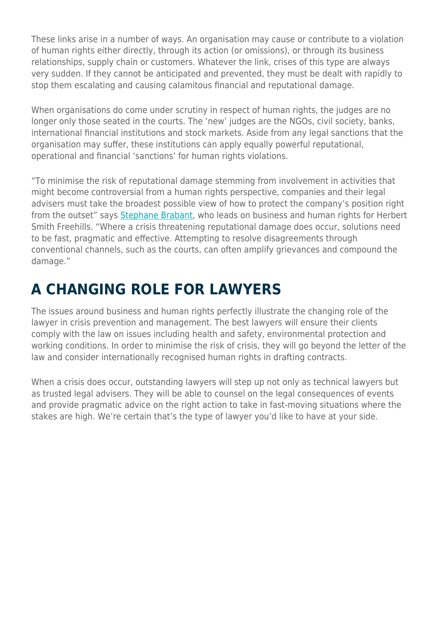These links arise in a number of ways. An organisation may cause or contribute to a violation of human rights either directly, through its action (or omissions), or through its business relationships, supply chain or customers. Whatever the link, crises of this type are always very sudden. If they cannot be anticipated and prevented, they must be dealt with rapidly to stop them escalating and causing calamitous financial and reputational damage.

When organisations do come under scrutiny in respect of human rights, the judges are no longer only those seated in the courts. The 'new' judges are the NGOs, civil society, banks, international financial institutions and stock markets. Aside from any legal sanctions that the organisation may suffer, these institutions can apply equally powerful reputational, operational and financial 'sanctions' for human rights violations.

"To minimise the risk of reputational damage stemming from involvement in activities that might become controversial from a human rights perspective, companies and their legal advisers must take the broadest possible view of how to protect the company's position right from the outset" says [Stephane Brabant](https://www.herbertsmithfreehills.com/our-people/st%C3%A9phane-brabant), who leads on business and human rights for Herbert Smith Freehills. "Where a crisis threatening reputational damage does occur, solutions need to be fast, pragmatic and effective. Attempting to resolve disagreements through conventional channels, such as the courts, can often amplify grievances and compound the damage."

# **A CHANGING ROLE FOR LAWYERS**

The issues around business and human rights perfectly illustrate the changing role of the lawyer in crisis prevention and management. The best lawyers will ensure their clients comply with the law on issues including health and safety, environmental protection and working conditions. In order to minimise the risk of crisis, they will go beyond the letter of the law and consider internationally recognised human rights in drafting contracts.

When a crisis does occur, outstanding lawyers will step up not only as technical lawyers but as trusted legal advisers. They will be able to counsel on the legal consequences of events and provide pragmatic advice on the right action to take in fast-moving situations where the stakes are high. We're certain that's the type of lawyer you'd like to have at your side.